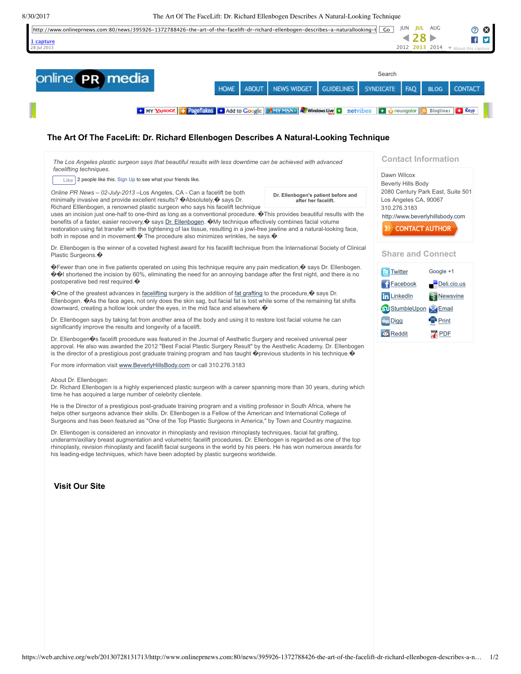8/30/2017 The Art Of The FaceLift: Dr. Richard Ellenbogen Describes A Natural-Looking Technique